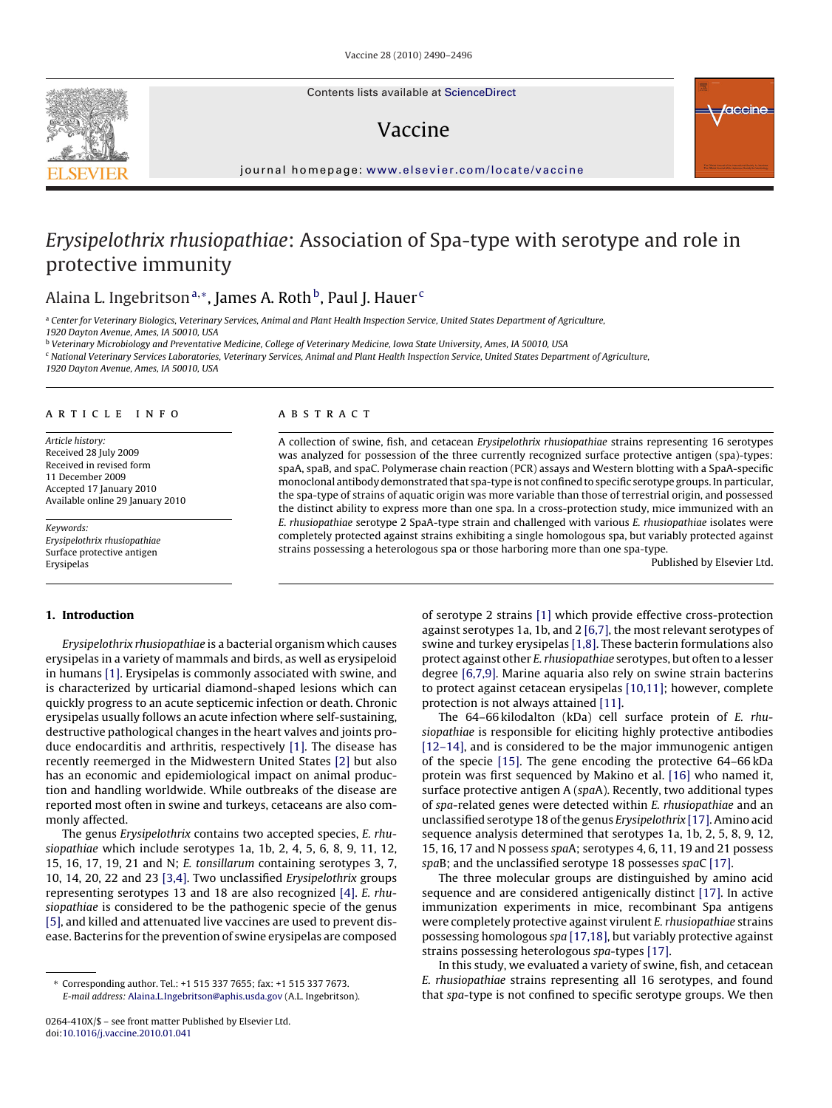Contents lists available at [ScienceDirect](http://www.sciencedirect.com/science/journal/0264410X)

# Vaccine



journal homepage: [www.elsevier.com/locate/vaccine](http://www.elsevier.com/locate/vaccine)

# Erysipelothrix rhusiopathiae: Association of Spa-type with serotype and role in protective immunity

# Alaina L. Ingebritson<sup>a,\*</sup>, James A. Roth<sup>b</sup>, Paul J. Hauer<sup>c</sup>

a Center for Veterinary Biologics, Veterinary Services, Animal and Plant Health Inspection Service, United States Department of Agriculture,

1920 Dayton Avenue, Ames, IA 50010, USA

<sup>b</sup> Veterinary Microbiology and Preventative Medicine, College of Veterinary Medicine, Iowa State University, Ames, IA 50010, USA

<sup>c</sup> National Veterinary Services Laboratories, Veterinary Services, Animal and Plant Health Inspection Service, United States Department of Agriculture,

1920 Dayton Avenue, Ames, IA 50010, USA

## article info

Article history: Received 28 July 2009 Received in revised form 11 December 2009 Accepted 17 January 2010 Available online 29 January 2010

Keywords: Erysipelothrix rhusiopathiae Surface protective antigen Erysipelas

#### **1. Introduction**

Erysipelothrix rhusiopathiae is a bacterial organism which causes erysipelas in a variety of mammals and birds, as well as erysipeloid in humans [\[1\]. E](#page-5-0)rysipelas is commonly associated with swine, and is characterized by urticarial diamond-shaped lesions which can quickly progress to an acute septicemic infection or death. Chronic erysipelas usually follows an acute infection where self-sustaining, destructive pathological changes in the heart valves and joints produce endocarditis and arthritis, respectively [\[1\].](#page-5-0) The disease has recently reemerged in the Midwestern United States [\[2\]](#page-5-0) but also has an economic and epidemiological impact on animal production and handling worldwide. While outbreaks of the disease are reported most often in swine and turkeys, cetaceans are also commonly affected.

The genus Erysipelothrix contains two accepted species, E. rhusiopathiae which include serotypes 1a, 1b, 2, 4, 5, 6, 8, 9, 11, 12, 15, 16, 17, 19, 21 and N; E. tonsillarum containing serotypes 3, 7, 10, 14, 20, 22 and 23 [\[3,4\]. T](#page-5-0)wo unclassified Erysipelothrix groups representing serotypes 13 and 18 are also recognized [\[4\].](#page-5-0) E. rhusiopathiae is considered to be the pathogenic specie of the genus [\[5\], a](#page-5-0)nd killed and attenuated live vaccines are used to prevent disease. Bacterins for the prevention of swine erysipelas are composed

#### ABSTRACT

A collection of swine, fish, and cetacean Erysipelothrix rhusiopathiae strains representing 16 serotypes was analyzed for possession of the three currently recognized surface protective antigen (spa)-types: spaA, spaB, and spaC. Polymerase chain reaction (PCR) assays and Western blotting with a SpaA-specific monoclonal antibody demonstrated that spa-type is not confined to specific serotype groups. In particular, the spa-type of strains of aquatic origin was more variable than those of terrestrial origin, and possessed the distinct ability to express more than one spa. In a cross-protection study, mice immunized with an E. rhusiopathiae serotype 2 SpaA-type strain and challenged with various E. rhusiopathiae isolates were completely protected against strains exhibiting a single homologous spa, but variably protected against strains possessing a heterologous spa or those harboring more than one spa-type.

Published by Elsevier Ltd.

of serotype 2 strains [\[1\]](#page-5-0) which provide effective cross-protection against serotypes 1a, 1b, and 2 [\[6,7\], t](#page-6-0)he most relevant serotypes of swine and turkey erysipelas [\[1,8\]. T](#page-5-0)hese bacterin formulations also protect against other E. rhusiopathiae serotypes, but often to a lesser degree [\[6,7,9\]. M](#page-6-0)arine aquaria also rely on swine strain bacterins to protect against cetacean erysipelas [\[10,11\];](#page-6-0) however, complete protection is not always attained [\[11\].](#page-6-0)

The 64–66 kilodalton (kDa) cell surface protein of E. rhusiopathiae is responsible for eliciting highly protective antibodies [\[12–14\], a](#page-6-0)nd is considered to be the major immunogenic antigen of the specie [\[15\].](#page-6-0) The gene encoding the protective 64–66 kDa protein was first sequenced by Makino et al. [\[16\]](#page-6-0) who named it, surface protective antigen A (spaA). Recently, two additional types of spa-related genes were detected within E. rhusiopathiae and an unclassified serotype 18 of the genus Erysipelothrix [\[17\]. A](#page-6-0)mino acid sequence analysis determined that serotypes 1a, 1b, 2, 5, 8, 9, 12, 15, 16, 17 and N possess spaA; serotypes 4, 6, 11, 19 and 21 possess spaB; and the unclassified serotype 18 possesses spaC [\[17\].](#page-6-0)

The three molecular groups are distinguished by amino acid sequence and are considered antigenically distinct [\[17\]. I](#page-6-0)n active immunization experiments in mice, recombinant Spa antigens were completely protective against virulent E. rhusiopathiae strains possessing homologous spa [\[17,18\], b](#page-6-0)ut variably protective against strains possessing heterologous spa-types [\[17\].](#page-6-0)

In this study, we evaluated a variety of swine, fish, and cetacean E. rhusiopathiae strains representing all 16 serotypes, and found that spa-type is not confined to specific serotype groups. We then



<sup>∗</sup> Corresponding author. Tel.: +1 515 337 7655; fax: +1 515 337 7673. E-mail address: [Alaina.L.Ingebritson@aphis.usda.gov](mailto:Alaina.L.Ingebritson@aphis.usda.gov) (A.L. Ingebritson).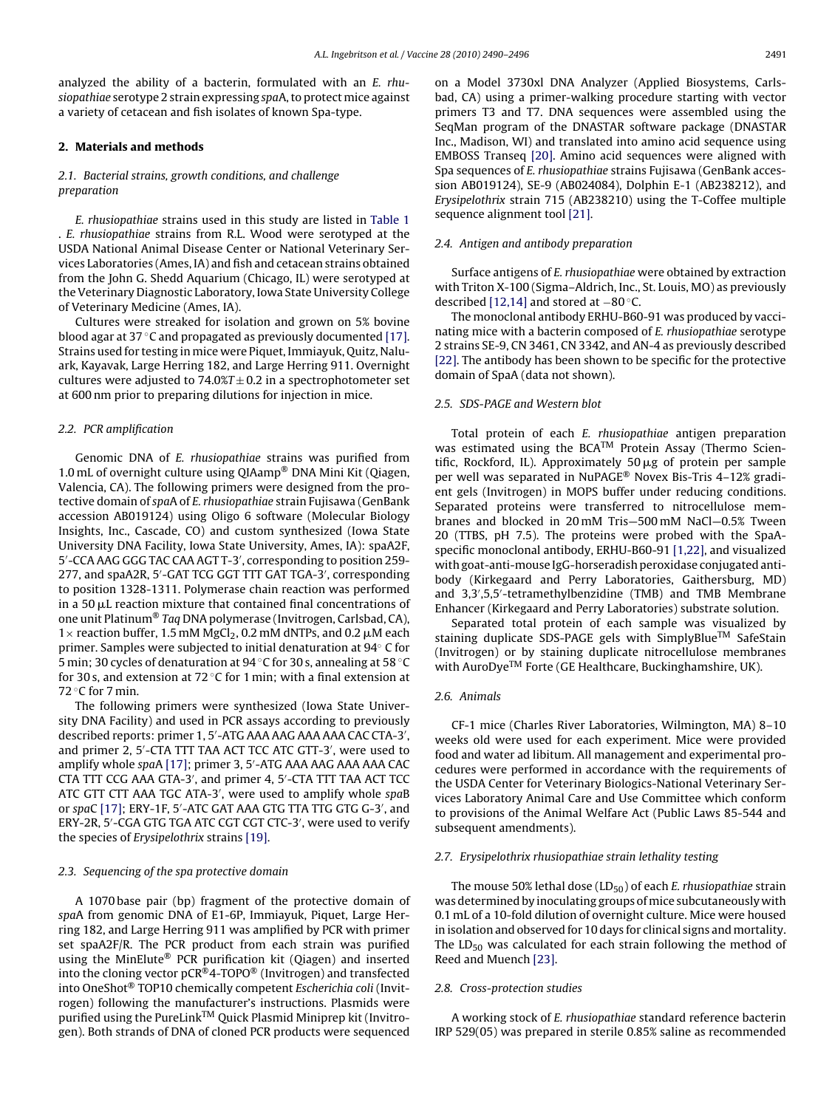analyzed the ability of a bacterin, formulated with an E. rhusiopathiae serotype 2 strain expressing spaA, to protect mice against a variety of cetacean and fish isolates of known Spa-type.

#### **2. Materials and methods**

### 2.1. Bacterial strains, growth conditions, and challenge preparation

E. rhusiopathiae strains used in this study are listed in [Table 1](#page-2-0) . E. rhusiopathiae strains from R.L. Wood were serotyped at the USDA National Animal Disease Center or National Veterinary Services Laboratories (Ames, IA) and fish and cetacean strains obtained from the John G. Shedd Aquarium (Chicago, IL) were serotyped at the Veterinary Diagnostic Laboratory, Iowa State University College of Veterinary Medicine (Ames, IA).

Cultures were streaked for isolation and grown on 5% bovine blood agar at 37 ◦C and propagated as previously documented [\[17\].](#page-6-0) Strains used for testing in mice were Piquet, Immiayuk, Quitz, Naluark, Kayavak, Large Herring 182, and Large Herring 911. Overnight cultures were adjusted to  $74.0\%T \pm 0.2$  in a spectrophotometer set at 600 nm prior to preparing dilutions for injection in mice.

#### 2.2. PCR amplification

Genomic DNA of E. rhusiopathiae strains was purified from 1.0 mL of overnight culture using QIAamp® DNA Mini Kit (Qiagen, Valencia, CA). The following primers were designed from the protective domain of spaA of E. rhusiopathiae strain Fujisawa (GenBank accession AB019124) using Oligo 6 software (Molecular Biology Insights, Inc., Cascade, CO) and custom synthesized (Iowa State University DNA Facility, Iowa State University, Ames, IA): spaA2F, 5 -CCA AAG GGG TAC CAA AGT T-3 , corresponding to position 259- 277, and spaA2R, 5 -GAT TCG GGT TTT GAT TGA-3 , corresponding to position 1328-1311. Polymerase chain reaction was performed in a 50 µL reaction mixture that contained final concentrations of one unit Platinum® Taq DNA polymerase (Invitrogen, Carlsbad, CA), 1 $\times$  reaction buffer, 1.5 mM MgCl<sub>2</sub>, 0.2 mM dNTPs, and 0.2  $\mu$ M each primer. Samples were subjected to initial denaturation at 94◦ C for 5 min; 30 cycles of denaturation at 94 ◦C for 30 s, annealing at 58 ◦C for 30 s, and extension at 72  $\degree$ C for 1 min; with a final extension at  $72 °C$  for 7 min.

The following primers were synthesized (Iowa State University DNA Facility) and used in PCR assays according to previously described reports: primer 1, 5 -ATG AAA AAG AAA AAA CAC CTA-3 , and primer 2, 5 -CTA TTT TAA ACT TCC ATC GTT-3 , were used to amplify whole spaA [\[17\];](#page-6-0) primer 3, 5 -ATG AAA AAG AAA AAA CAC CTA TTT CCG AAA GTA-3 , and primer 4, 5 -CTA TTT TAA ACT TCC ATC GTT CTT AAA TGC ATA-3 , were used to amplify whole spaB or spaC [\[17\];](#page-6-0) ERY-1F, 5'-ATC GAT AAA GTG TTA TTG GTG G-3', and ERY-2R, 5 -CGA GTG TGA ATC CGT CGT CTC-3 , were used to verify the species of Erysipelothrix strains [\[19\].](#page-6-0)

#### 2.3. Sequencing of the spa protective domain

A 1070 base pair (bp) fragment of the protective domain of spaA from genomic DNA of E1-6P, Immiayuk, Piquet, Large Herring 182, and Large Herring 911 was amplified by PCR with primer set spaA2F/R. The PCR product from each strain was purified using the MinElute® PCR purification kit (Qiagen) and inserted into the cloning vector pCR®4-TOPO® (Invitrogen) and transfected into OneShot® TOP10 chemically competent Escherichia coli (Invitrogen) following the manufacturer's instructions. Plasmids were purified using the PureLinkTM Quick Plasmid Miniprep kit (Invitrogen). Both strands of DNA of cloned PCR products were sequenced

on a Model 3730xl DNA Analyzer (Applied Biosystems, Carlsbad, CA) using a primer-walking procedure starting with vector primers T3 and T7. DNA sequences were assembled using the SeqMan program of the DNASTAR software package (DNASTAR Inc., Madison, WI) and translated into amino acid sequence using EMBOSS Transeq [\[20\].](#page-6-0) Amino acid sequences were aligned with Spa sequences of E. rhusiopathiae strains Fujisawa (GenBank accession AB019124), SE-9 (AB024084), Dolphin E-1 (AB238212), and Erysipelothrix strain 715 (AB238210) using the T-Coffee multiple sequence alignment tool [\[21\].](#page-6-0)

#### 2.4. Antigen and antibody preparation

Surface antigens of E. rhusiopathiae were obtained by extraction with Triton X-100 (Sigma–Aldrich, Inc., St. Louis, MO) as previously described [\[12,14\]](#page-6-0) and stored at −80 ◦C.

The monoclonal antibody ERHU-B60-91 was produced by vaccinating mice with a bacterin composed of E. rhusiopathiae serotype 2 strains SE-9, CN 3461, CN 3342, and AN-4 as previously described [\[22\]. T](#page-6-0)he antibody has been shown to be specific for the protective domain of SpaA (data not shown).

#### 2.5. SDS-PAGE and Western blot

Total protein of each E. rhusiopathiae antigen preparation was estimated using the BCATM Protein Assay (Thermo Scientific, Rockford, IL). Approximately  $50 \mu$ g of protein per sample per well was separated in NuPAGE® Novex Bis-Tris 4–12% gradient gels (Invitrogen) in MOPS buffer under reducing conditions. Separated proteins were transferred to nitrocellulose membranes and blocked in 20 mM Tris—500 mM NaCl—0.5% Tween 20 (TTBS, pH 7.5). The proteins were probed with the SpaAspecific monoclonal antibody, ERHU-B60-91 [\[1,22\], a](#page-5-0)nd visualized with goat-anti-mouse IgG-horseradish peroxidase conjugated antibody (Kirkegaard and Perry Laboratories, Gaithersburg, MD) and 3,3 ,5,5 -tetramethylbenzidine (TMB) and TMB Membrane Enhancer (Kirkegaard and Perry Laboratories) substrate solution.

Separated total protein of each sample was visualized by staining duplicate SDS-PAGE gels with SimplyBlue™ SafeStain (Invitrogen) or by staining duplicate nitrocellulose membranes with AuroDye<sup>TM</sup> Forte (GE Healthcare, Buckinghamshire, UK).

#### 2.6. Animals

CF-1 mice (Charles River Laboratories, Wilmington, MA) 8–10 weeks old were used for each experiment. Mice were provided food and water ad libitum. All management and experimental procedures were performed in accordance with the requirements of the USDA Center for Veterinary Biologics-National Veterinary Services Laboratory Animal Care and Use Committee which conform to provisions of the Animal Welfare Act (Public Laws 85-544 and subsequent amendments).

#### 2.7. Erysipelothrix rhusiopathiae strain lethality testing

The mouse 50% lethal dose ( $LD_{50}$ ) of each *E. rhusiopathiae* strain was determined by inoculating groups of mice subcutaneously with 0.1 mL of a 10-fold dilution of overnight culture. Mice were housed in isolation and observed for 10 days for clinical signs and mortality. The LD $_{50}$  was calculated for each strain following the method of Reed and Muench [\[23\].](#page-6-0)

#### 2.8. Cross-protection studies

A working stock of E. rhusiopathiae standard reference bacterin IRP 529(05) was prepared in sterile 0.85% saline as recommended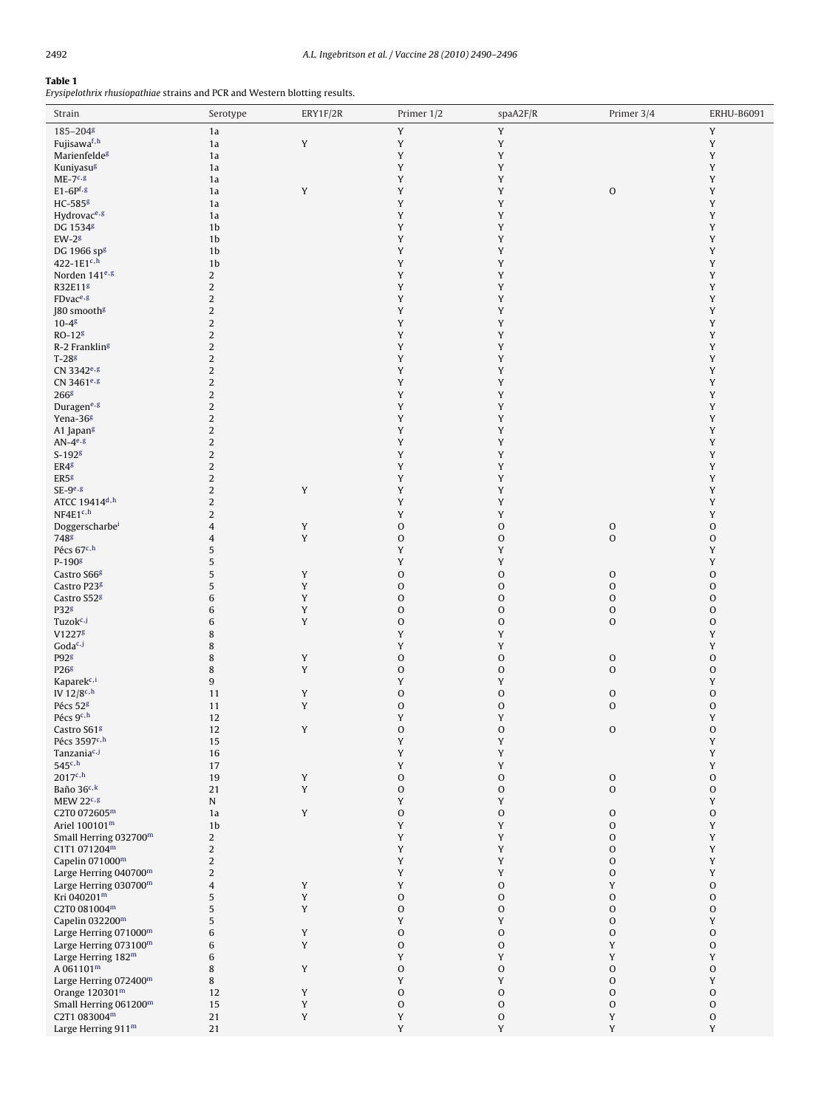# <span id="page-2-0"></span>**Table 1**

Erysipelothrix rhusiopathiae strains and PCR and Western blotting results.

| Strain                                             | Serotype                         | ERY1F/2R    | Primer 1/2                  | spaA2F/R                   | Primer 3/4       | <b>ERHU-B6091</b>          |
|----------------------------------------------------|----------------------------------|-------------|-----------------------------|----------------------------|------------------|----------------------------|
| 185-204 <sup>g</sup>                               | 1a                               |             | Y                           | Y                          |                  | Y                          |
| Fujisawa <sup>f, h</sup>                           | 1a                               | $\mathbf Y$ | $\mathbf Y$                 | Y                          |                  | Y                          |
| Marienfelde <sup>g</sup>                           | 1a                               |             | $\mathbf Y$                 | Y                          |                  | Y                          |
| Kuniyasug                                          | 1a                               |             | Y                           | Y                          |                  | Y                          |
| $ME-7^{c,g}$<br>$E1-6Pf,g$                         | 1a<br>1a                         | Y           | Y<br>$\mathbf Y$            | Y<br>Y                     | $\mathbf O$      | Y<br>Y                     |
| $HC-585g$                                          | 1a                               |             | $\mathbf Y$                 | Y                          |                  | Y                          |
| Hydrovac <sup>e,g</sup>                            | 1a                               |             | Y                           | Y                          |                  | Y                          |
| DG 1534 <sup>g</sup>                               | 1 <sub>b</sub>                   |             | Y                           | Y                          |                  | Y                          |
| $EW-2g$                                            | 1 <sub>b</sub>                   |             | $\mathbf Y$                 | Y                          |                  | Y                          |
| DG 1966 spg                                        | 1 <sub>b</sub>                   |             | Y                           | Y                          |                  | Y                          |
| 422-1E1c,h                                         | 1 <sub>b</sub>                   |             | Y                           | Y                          |                  | Y                          |
| Norden 141 <sup>e,g</sup>                          | $\overline{2}$                   |             | $\mathbf Y$                 | Y                          |                  | Y                          |
| R32E11 <sup>g</sup>                                | $\overline{c}$                   |             | $\mathbf Y$                 | Y<br>Y                     |                  | Y                          |
| FDvace,g<br>$[80$ smooth <sup>g</sup>              | $\overline{c}$<br>$\overline{c}$ |             | Y<br>Y                      | Y                          |                  | Y<br>Y                     |
| $10 - 48$                                          | $\overline{c}$                   |             | $\mathbf Y$                 | Y                          |                  | Y                          |
| $RO-12g$                                           | $\sqrt{2}$                       |             | $\mathbf Y$                 | Y                          |                  | Y                          |
| $R-2$ Franklin <sup>g</sup>                        | $\overline{c}$                   |             | Y                           | Y                          |                  | Y                          |
| $T-28g$                                            | $\sqrt{2}$                       |             | $\mathbf Y$                 | Y                          |                  | Y                          |
| CN 3342 <sup>e,g</sup>                             | $\sqrt{2}$                       |             | Y                           | Y                          |                  | Y                          |
| CN 3461 <sup>e,g</sup><br>266 <sup>g</sup>         | 2                                |             | Y                           | Y                          |                  | Y                          |
| Duragen <sup>e,g</sup>                             | $\overline{c}$<br>$\overline{c}$ |             | Y<br>$\mathbf Y$            | Y<br>Y                     |                  | Y<br>Y                     |
| Yena-36 <sup>g</sup>                               | $\overline{c}$                   |             | $\mathbf Y$                 | Y                          |                  | Y                          |
| A1 Japan <sup>g</sup>                              | $\overline{c}$                   |             | Y                           | Y                          |                  | Y                          |
| $AN-4^{e,g}$                                       | $\sqrt{2}$                       |             | $\mathbf Y$                 | Y                          |                  | Y                          |
| $S-192g$                                           | $\sqrt{2}$                       |             | Y                           | Y                          |                  | Y                          |
| ER4 <sup>g</sup>                                   | $\overline{c}$                   |             | Y                           | Y                          |                  | Y                          |
| ER <sub>5</sub> g<br>$SE-9e.8$                     | $\overline{c}$<br>$\overline{c}$ | $\mathbf Y$ | Y<br>$\mathbf Y$            | Y<br>Y                     |                  | Y<br>Y                     |
| ATCC 19414 <sup>d,h</sup>                          | $\overline{2}$                   |             | $\mathbf Y$                 | Y                          |                  | Y                          |
| $NF4E1^{c,h}$                                      | $\overline{c}$                   |             | Y                           | Y                          |                  | Y                          |
| Doggerscharbei                                     | $\overline{4}$                   | $\mathbf Y$ | $\mathbf 0$                 | $\mathbf O$                | ${\rm O}$        | $\mathbf 0$                |
| 748g                                               | 4                                | Y           | $\mathbf 0$                 | $\mathbf O$                | $\mathbf O$      | $\mathbf O$                |
| Pécs 67c,h                                         | 5                                |             | Y                           | Y                          |                  | Y                          |
| $P-190g$                                           | 5<br>5                           | $\mathbf Y$ | Y                           | Y                          |                  | Y                          |
| Castro S66 <sup>g</sup><br>Castro P23 <sup>g</sup> | 5                                | Y           | $\mathbf O$<br>$\mathbf{O}$ | O<br>$\mathbf{O}$          | $\mathbf O$<br>0 | $\mathbf O$<br>$\mathbf O$ |
| Castro S52 <sup>g</sup>                            | 6                                | Y           | $\mathbf 0$                 | O                          | $\mathbf 0$      | $\mathbf O$                |
| P32 <sup>g</sup>                                   | $\,6\,$                          | Y           | $\mathbf 0$                 | O                          | $\mathbf O$      | $\mathbf O$                |
| Tuzok <sup>c,j</sup>                               | $\,6\,$                          | Y           | $\mathbf 0$                 | O                          | 0                | $\mathbf O$                |
| V1227 <sup>g</sup>                                 | 8                                |             | Y                           | Y                          |                  | Y                          |
| Goda <sup>c,j</sup><br>P92g                        | 8<br>$\,8\,$                     | $\mathbf Y$ | Y<br>$\mathbf O$            | Y<br>O                     | $\mathbf O$      | Y<br>$\mathbf O$           |
| P26 <sup>g</sup>                                   | 8                                | Y           | $\mathbf 0$                 | $\mathbf{O}$               | $\mathbf O$      | $\mathbf O$                |
| Kaparek <sup>c,i</sup>                             | 9                                |             | Y                           | Y                          |                  | Y                          |
| IV 12/8c,h                                         | 11                               | Y           | $\mathbf 0$                 | O                          | O                | $\mathbf 0$                |
| Pécs 52g                                           | 11                               | $\mathbf Y$ | $\mathbf 0$                 | O                          | 0                | $\mathbf O$                |
| Pécs 9c,h                                          | 12                               |             | Y                           | Y                          |                  | Y                          |
| Castro S61 <sup>g</sup><br>Pécs 3597c,h            | 12<br>15                         | Y           | $\mathbf{O}$<br>Y           | O<br>Y                     | $\mathbf{O}$     | $\mathbf{O}$<br>Y          |
| Tanzania <sup>c,j</sup>                            | 16                               |             | $\mathbf Y$                 | Y                          |                  | Y                          |
| 545c, h                                            | 17                               |             | Y                           | Y                          |                  | Y                          |
| $2017^{c,h}$                                       | 19                               | Y           | $\mathbf 0$                 | $\mathbf O$                | O                | $\mathbf 0$                |
| Baño 36 <sup>c,k</sup>                             | 21                               | Y           | $\mathbf O$                 | $\mathbf O$                | $\mathbf O$      | $\mathbf O$                |
| MEW 22c,g                                          | ${\bf N}$                        |             | Y                           | Y                          |                  | Y                          |
| C2T0 072605m<br>Ariel 100101 <sup>m</sup>          | 1a<br>1b                         | $\mathbf Y$ | $\mathbf O$<br>$\mathbf Y$  | $\mathbf 0$<br>Y           | O<br>$\mathbf 0$ | $\mathbf 0$<br>Y           |
| Small Herring 032700m                              | $\overline{c}$                   |             | Y                           | Y                          | $\mathbf{O}$     | Y                          |
| C1T1 071204m                                       | $\overline{c}$                   |             | Y                           | Y                          | $\mathbf 0$      | Y                          |
| Capelin 071000m                                    | $\sqrt{2}$                       |             | $\mathbf Y$                 | Y                          | $\mathbf 0$      | Y                          |
| Large Herring 040700m                              | $\overline{c}$                   |             | Y                           | Y                          | $\mathbf O$      | Y                          |
| Large Herring 030700m                              | $\overline{4}$                   | Y           | Y                           | $\mathbf O$                | Y                | $\mathbf O$                |
| Kri 040201m                                        | 5                                | Y           | $\mathbf O$                 | O                          | $\mathbf 0$      | $\mathbf 0$                |
| C2T0 081004m<br>Capelin 032200m                    | 5<br>5                           | Y           | $\mathbf O$<br>Y            | O<br>Y                     | O<br>O           | $\mathbf O$<br>Y           |
| Large Herring 071000m                              | 6                                | Y           | $\mathbf O$                 | O                          | $\mathbf 0$      | $\mathbf O$                |
| Large Herring 073100m                              | $\,6\,$                          | $\mathbf Y$ | $\mathbf O$                 | $\mathbf O$                | Y                | $\mathbf O$                |
| Large Herring $182m$                               | 6                                |             | Y                           | Y                          | Y                | Y                          |
| $A$ 061101 <sup>m</sup>                            | 8                                | Y           | $\mathbf O$                 | $\mathbf O$                | $\mathbf 0$      | $\mathbf O$                |
| Large Herring 072400m                              | 8                                | $\mathbf Y$ | Y                           | Y                          | $\mathbf 0$      | Y                          |
| Orange $120301m$<br>Small Herring 061200m          | 12<br>15                         | Y           | $\mathbf O$<br>$\mathbf O$  | $\mathbf 0$<br>$\mathbf 0$ | 0<br>O           | $\mathbf O$<br>$\mathbf O$ |
| C2T1 083004m                                       | 21                               | Y           | Y                           | O                          | Y                | $\mathbf O$                |
| Large Herring 911 <sup>m</sup>                     | 21                               |             | $\mathbf Y$                 | Y                          | Y                | Y                          |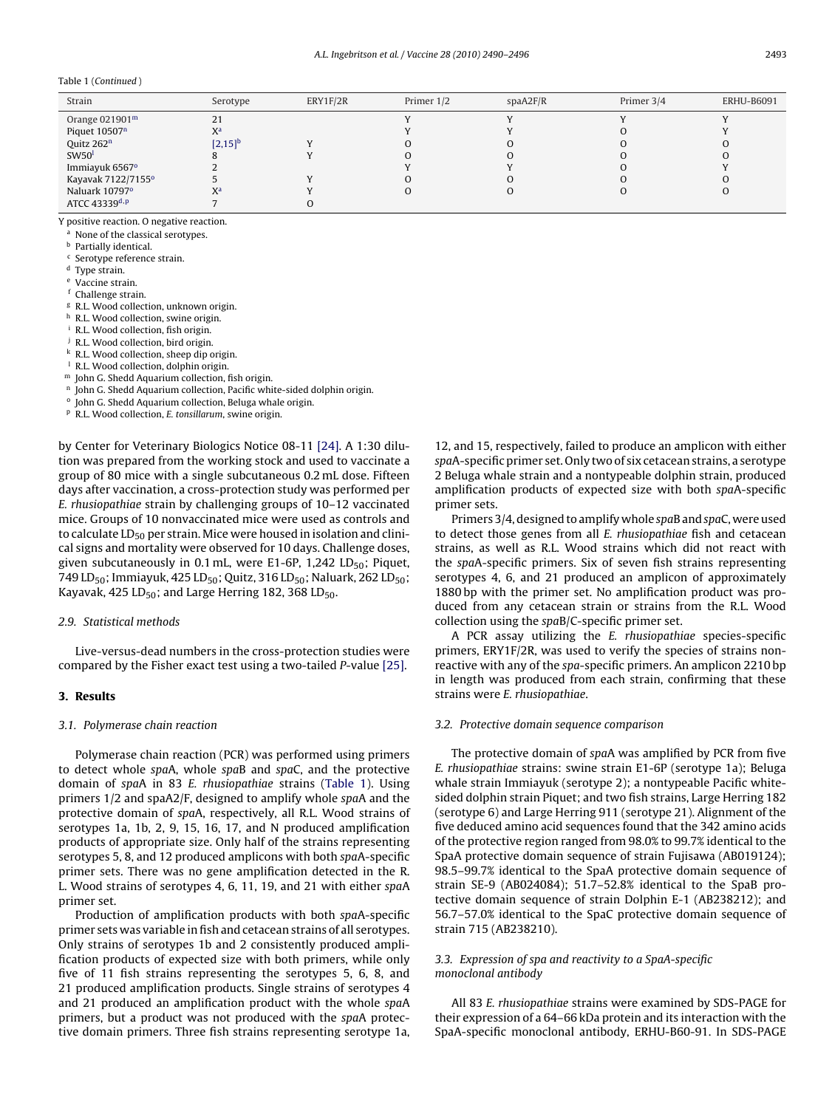#### <span id="page-3-0"></span>Table 1 (Continued )

| Strain                     | Serotype       | ERY1F/2R | Primer 1/2 | spaA2F/R | Primer 3/4 | <b>ERHU-B6091</b> |
|----------------------------|----------------|----------|------------|----------|------------|-------------------|
| Orange $021901m$           | 21             |          |            |          |            |                   |
| Piquet 10507 <sup>n</sup>  | X <sup>a</sup> |          |            |          |            |                   |
| Quitz $262^n$              | $[2,15]^{b}$   |          |            |          |            |                   |
| SW50 <sup>1</sup>          |                |          |            |          |            |                   |
| Immiayuk 6567°             |                |          |            |          |            |                   |
| Kayavak 7122/7155°         |                |          |            |          |            |                   |
| Naluark 10797°             | X <sup>a</sup> |          |            |          |            |                   |
| ATCC 43339 <sup>d, p</sup> |                |          |            |          |            |                   |

Y positive reaction. O negative reaction.

None of the classical serotypes.

**b** Partially identical.

<sup>c</sup> Serotype reference strain.

<sup>d</sup> Type strain. <sup>e</sup> Vaccine strain.

<sup>f</sup> Challenge strain.

<sup>g</sup> R.L. Wood collection, unknown origin. R.L. Wood collection, swine origin.

<sup>i</sup> R.L. Wood collection, fish origin.

<sup>j</sup> R.L. Wood collection, bird origin.

<sup>k</sup> R.L. Wood collection, sheep dip origin.

<sup>1</sup> R.L. Wood collection, dolphin origin.

<sup>m</sup> John G. Shedd Aquarium collection, fish origin.

<sup>n</sup> John G. Shedd Aquarium collection, Pacific white-sided dolphin origin.

<sup>o</sup> John G. Shedd Aquarium collection, Beluga whale origin.

<sup>p</sup> R.L. Wood collection, E. tonsillarum, swine origin.

by Center for Veterinary Biologics Notice 08-11 [\[24\]. A](#page-6-0) 1:30 dilution was prepared from the working stock and used to vaccinate a group of 80 mice with a single subcutaneous 0.2 mL dose. Fifteen days after vaccination, a cross-protection study was performed per E. rhusiopathiae strain by challenging groups of 10–12 vaccinated mice. Groups of 10 nonvaccinated mice were used as controls and to calculate  $LD_{50}$  per strain. Mice were housed in isolation and clinical signs and mortality were observed for 10 days. Challenge doses, given subcutaneously in 0.1 mL, were E1-6P, 1,242  $LD_{50}$ ; Piquet, 749 LD<sub>50</sub>; Immiayuk, 425 LD<sub>50</sub>; Quitz, 316 LD<sub>50</sub>; Naluark, 262 LD<sub>50</sub>; Kayavak, 425 LD $_{50}$ ; and Large Herring 182, 368 LD $_{50}$ .

#### 2.9. Statistical methods

Live-versus-dead numbers in the cross-protection studies were compared by the Fisher exact test using a two-tailed P-value [\[25\].](#page-6-0)

#### **3. Results**

#### 3.1. Polymerase chain reaction

Polymerase chain reaction (PCR) was performed using primers to detect whole spaA, whole spaB and spaC, and the protective domain of spaA in 83 E. rhusiopathiae strains ([Table 1\)](#page-2-0). Using primers 1/2 and spaA2/F, designed to amplify whole spaA and the protective domain of spaA, respectively, all R.L. Wood strains of serotypes 1a, 1b, 2, 9, 15, 16, 17, and N produced amplification products of appropriate size. Only half of the strains representing serotypes 5, 8, and 12 produced amplicons with both spaA-specific primer sets. There was no gene amplification detected in the R. L. Wood strains of serotypes 4, 6, 11, 19, and 21 with either spaA primer set.

Production of amplification products with both spaA-specific primer sets was variable in fish and cetacean strains of all serotypes. Only strains of serotypes 1b and 2 consistently produced amplification products of expected size with both primers, while only five of 11 fish strains representing the serotypes 5, 6, 8, and 21 produced amplification products. Single strains of serotypes 4 and 21 produced an amplification product with the whole spaA primers, but a product was not produced with the spaA protective domain primers. Three fish strains representing serotype 1a, 12, and 15, respectively, failed to produce an amplicon with either spaA-specific primer set. Only two of six cetacean strains, a serotype 2 Beluga whale strain and a nontypeable dolphin strain, produced amplification products of expected size with both spaA-specific primer sets.

Primers 3/4, designed to amplify whole spaB and spaC, were used to detect those genes from all E. rhusiopathiae fish and cetacean strains, as well as R.L. Wood strains which did not react with the spaA-specific primers. Six of seven fish strains representing serotypes 4, 6, and 21 produced an amplicon of approximately 1880 bp with the primer set. No amplification product was produced from any cetacean strain or strains from the R.L. Wood collection using the spaB/C-specific primer set.

A PCR assay utilizing the E. rhusiopathiae species-specific primers, ERY1F/2R, was used to verify the species of strains nonreactive with any of the spa-specific primers. An amplicon 2210 bp in length was produced from each strain, confirming that these strains were E. rhusiopathiae.

#### 3.2. Protective domain sequence comparison

The protective domain of spaA was amplified by PCR from five E. rhusiopathiae strains: swine strain E1-6P (serotype 1a); Beluga whale strain Immiayuk (serotype 2); a nontypeable Pacific whitesided dolphin strain Piquet; and two fish strains, Large Herring 182 (serotype 6) and Large Herring 911 (serotype 21). Alignment of the five deduced amino acid sequences found that the 342 amino acids of the protective region ranged from 98.0% to 99.7% identical to the SpaA protective domain sequence of strain Fujisawa (AB019124); 98.5–99.7% identical to the SpaA protective domain sequence of strain SE-9 (AB024084); 51.7–52.8% identical to the SpaB protective domain sequence of strain Dolphin E-1 (AB238212); and 56.7–57.0% identical to the SpaC protective domain sequence of strain 715 (AB238210).

## 3.3. Expression of spa and reactivity to a SpaA-specific monoclonal antibody

All 83 E. rhusiopathiae strains were examined by SDS-PAGE for their expression of a 64–66 kDa protein and its interaction with the SpaA-specific monoclonal antibody, ERHU-B60-91. In SDS-PAGE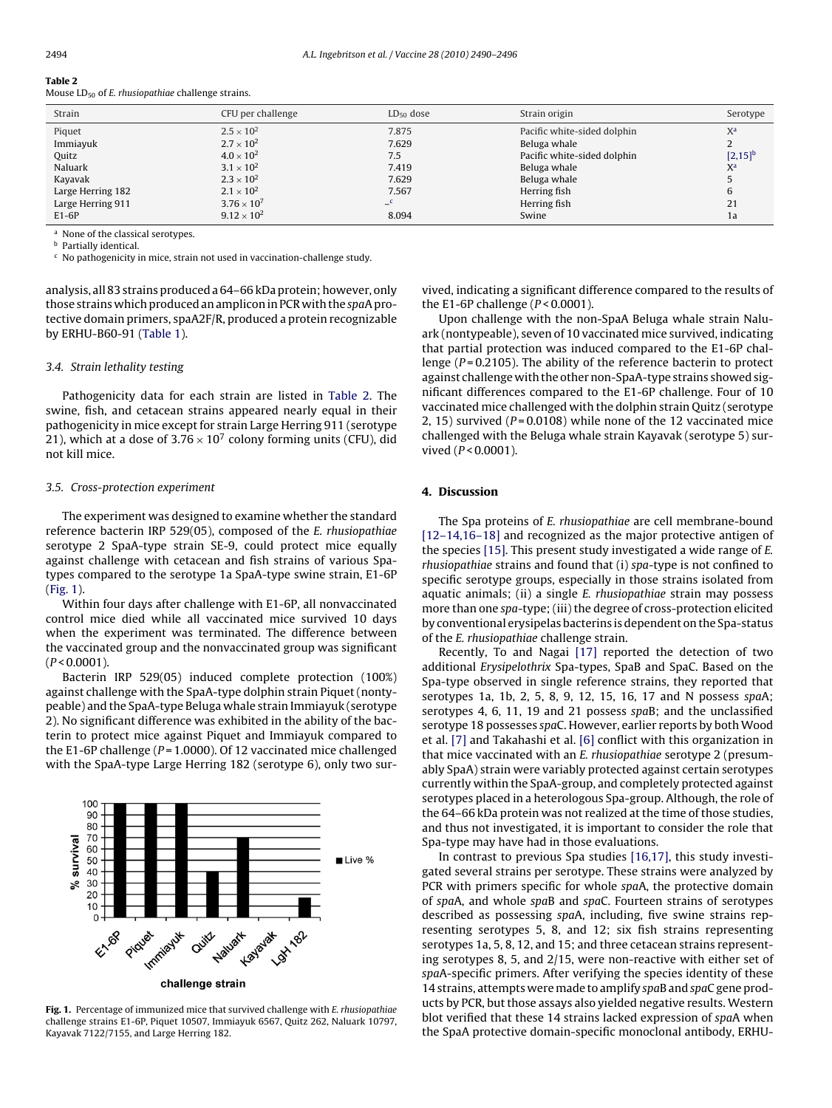| Strain            | CFU per challenge    | $LD_{50}$ dose | Strain origin               | Serotype       |
|-------------------|----------------------|----------------|-----------------------------|----------------|
| Piquet            | $2.5 \times 10^{2}$  | 7.875          | Pacific white-sided dolphin | X <sup>a</sup> |
| Immiayuk          | $2.7 \times 10^{2}$  | 7.629          | Beluga whale                |                |
| Quitz             | $4.0 \times 10^2$    | 7.5            | Pacific white-sided dolphin | $[2,15]^{b}$   |
| Naluark           | $3.1 \times 10^{2}$  | 7.419          | Beluga whale                | $X^a$          |
| Kayavak           | $2.3 \times 10^{2}$  | 7.629          | Beluga whale                |                |
| Large Herring 182 | $2.1 \times 10^{2}$  | 7.567          | Herring fish                |                |
| Large Herring 911 | $3.76 \times 10^{7}$ | $\mathbf{C}$   | Herring fish                | 21             |
| $E1-6P$           | $9.12 \times 10^{2}$ | 8.094          | Swine                       | 1a             |
|                   |                      |                |                             |                |

Mouse LD<sub>50</sub> of E. rhusiopathiae challenge strains.

<sup>a</sup> None of the classical serotypes.

**b** Partially identical.

<sup>c</sup> No pathogenicity in mice, strain not used in vaccination-challenge study.

analysis, all 83 strains produced a 64–66 kDa protein; however, only those strains which produced an amplicon in PCR with the spaA protective domain primers, spaA2F/R, produced a protein recognizable by ERHU-B60-91 [\(Table 1\).](#page-2-0)

#### 3.4. Strain lethality testing

Pathogenicity data for each strain are listed in Table 2. The swine, fish, and cetacean strains appeared nearly equal in their pathogenicity in mice except for strain Large Herring 911 (serotype 21), which at a dose of  $3.76 \times 10^7$  colony forming units (CFU), did not kill mice.

#### 3.5. Cross-protection experiment

The experiment was designed to examine whether the standard reference bacterin IRP 529(05), composed of the E. rhusiopathiae serotype 2 SpaA-type strain SE-9, could protect mice equally against challenge with cetacean and fish strains of various Spatypes compared to the serotype 1a SpaA-type swine strain, E1-6P (Fig. 1).

Within four days after challenge with E1-6P, all nonvaccinated control mice died while all vaccinated mice survived 10 days when the experiment was terminated. The difference between the vaccinated group and the nonvaccinated group was significant  $(P < 0.0001)$ .

Bacterin IRP 529(05) induced complete protection (100%) against challenge with the SpaA-type dolphin strain Piquet (nontypeable) and the SpaA-type Beluga whale strain Immiayuk (serotype 2). No significant difference was exhibited in the ability of the bacterin to protect mice against Piquet and Immiayuk compared to the E1-6P challenge ( $P = 1.0000$ ). Of 12 vaccinated mice challenged with the SpaA-type Large Herring 182 (serotype 6), only two sur-



**Fig. 1.** Percentage of immunized mice that survived challenge with E. rhusiopathiae challenge strains E1-6P, Piquet 10507, Immiayuk 6567, Quitz 262, Naluark 10797, Kayavak 7122/7155, and Large Herring 182.

vived, indicating a significant difference compared to the results of the E1-6P challenge ( $P < 0.0001$ ).

Upon challenge with the non-SpaA Beluga whale strain Naluark (nontypeable), seven of 10 vaccinated mice survived, indicating that partial protection was induced compared to the E1-6P challenge ( $P = 0.2105$ ). The ability of the reference bacterin to protect against challenge with the other non-SpaA-type strains showed significant differences compared to the E1-6P challenge. Four of 10 vaccinated mice challenged with the dolphin strain Quitz (serotype 2, 15) survived ( $P = 0.0108$ ) while none of the 12 vaccinated mice challenged with the Beluga whale strain Kayavak (serotype 5) survived  $(P < 0.0001)$ .

#### **4. Discussion**

The Spa proteins of E. rhusiopathiae are cell membrane-bound [\[12–14,16–18\]](#page-6-0) and recognized as the major protective antigen of the species [\[15\]. T](#page-6-0)his present study investigated a wide range of E. rhusiopathiae strains and found that (i) spa-type is not confined to specific serotype groups, especially in those strains isolated from aquatic animals; (ii) a single E. rhusiopathiae strain may possess more than one spa-type; (iii) the degree of cross-protection elicited by conventional erysipelas bacterins is dependent on the Spa-status of the E. rhusiopathiae challenge strain.

Recently, To and Nagai [\[17\]](#page-6-0) reported the detection of two additional Erysipelothrix Spa-types, SpaB and SpaC. Based on the Spa-type observed in single reference strains, they reported that serotypes 1a, 1b, 2, 5, 8, 9, 12, 15, 16, 17 and N possess spaA; serotypes 4, 6, 11, 19 and 21 possess spaB; and the unclassified serotype 18 possesses spaC. However, earlier reports by both Wood et al. [\[7\]](#page-6-0) and Takahashi et al. [\[6\]](#page-6-0) conflict with this organization in that mice vaccinated with an E. rhusiopathiae serotype 2 (presumably SpaA) strain were variably protected against certain serotypes currently within the SpaA-group, and completely protected against serotypes placed in a heterologous Spa-group. Although, the role of the 64–66 kDa protein was not realized at the time of those studies, and thus not investigated, it is important to consider the role that Spa-type may have had in those evaluations.

In contrast to previous Spa studies [\[16,17\], t](#page-6-0)his study investigated several strains per serotype. These strains were analyzed by PCR with primers specific for whole spaA, the protective domain of spaA, and whole spaB and spaC. Fourteen strains of serotypes described as possessing spaA, including, five swine strains representing serotypes 5, 8, and 12; six fish strains representing serotypes 1a, 5, 8, 12, and 15; and three cetacean strains representing serotypes 8, 5, and 2/15, were non-reactive with either set of spaA-specific primers. After verifying the species identity of these 14 strains, attempts were made to amplify spaB and spaC gene products by PCR, but those assays also yielded negative results. Western blot verified that these 14 strains lacked expression of spaA when the SpaA protective domain-specific monoclonal antibody, ERHU-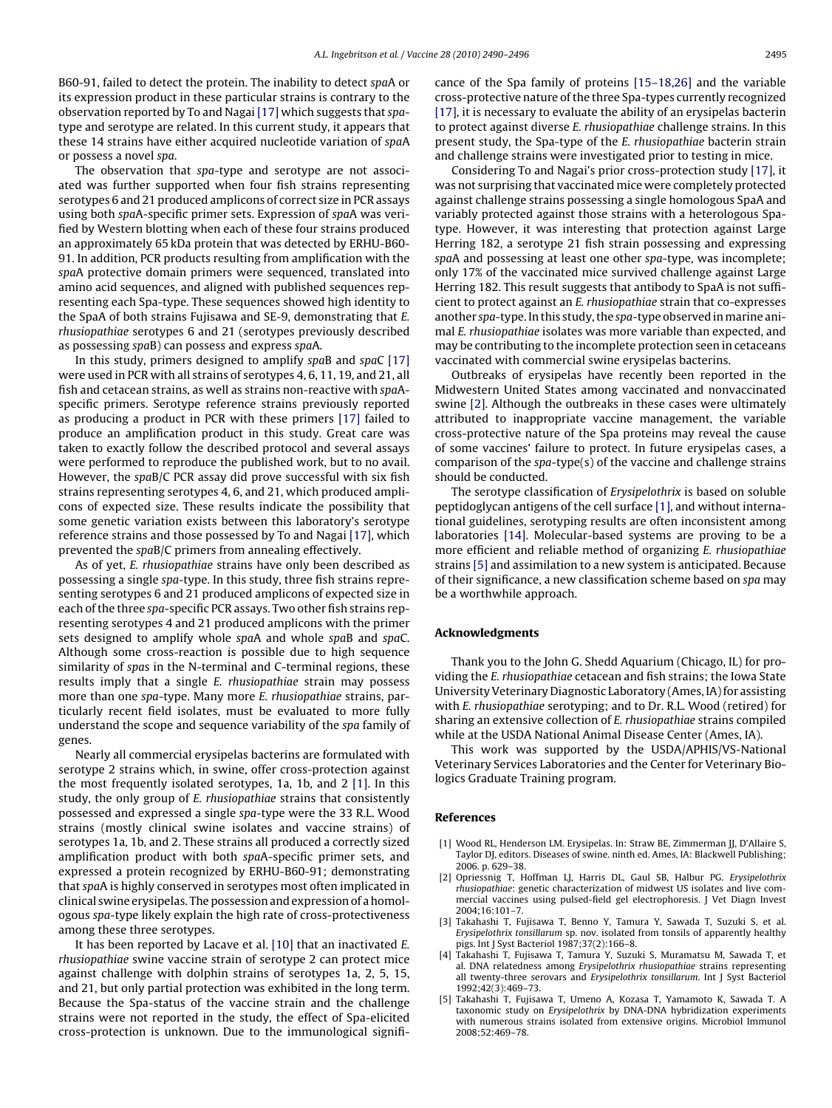<span id="page-5-0"></span>B60-91, failed to detect the protein. The inability to detect spaA or its expression product in these particular strains is contrary to the observation reported by To and Nagai [\[17\]](#page-6-0) which suggests that spatype and serotype are related. In this current study, it appears that these 14 strains have either acquired nucleotide variation of spaA or possess a novel spa.

The observation that spa-type and serotype are not associated was further supported when four fish strains representing serotypes 6 and 21 produced amplicons of correct size in PCR assays using both spaA-specific primer sets. Expression of spaA was verified by Western blotting when each of these four strains produced an approximately 65 kDa protein that was detected by ERHU-B60- 91. In addition, PCR products resulting from amplification with the spaA protective domain primers were sequenced, translated into amino acid sequences, and aligned with published sequences representing each Spa-type. These sequences showed high identity to the SpaA of both strains Fujisawa and SE-9, demonstrating that E. rhusiopathiae serotypes 6 and 21 (serotypes previously described as possessing spaB) can possess and express spaA.

In this study, primers designed to amplify spaB and spaC [\[17\]](#page-6-0) were used in PCR with all strains of serotypes 4, 6, 11, 19, and 21, all fish and cetacean strains, as well as strains non-reactive with spaAspecific primers. Serotype reference strains previously reported as producing a product in PCR with these primers [\[17\]](#page-6-0) failed to produce an amplification product in this study. Great care was taken to exactly follow the described protocol and several assays were performed to reproduce the published work, but to no avail. However, the spaB/C PCR assay did prove successful with six fish strains representing serotypes 4, 6, and 21, which produced amplicons of expected size. These results indicate the possibility that some genetic variation exists between this laboratory's serotype reference strains and those possessed by To and Nagai [\[17\], w](#page-6-0)hich prevented the spaB/C primers from annealing effectively.

As of yet, E. rhusiopathiae strains have only been described as possessing a single spa-type. In this study, three fish strains representing serotypes 6 and 21 produced amplicons of expected size in each of the three spa-specific PCR assays. Two other fish strains representing serotypes 4 and 21 produced amplicons with the primer sets designed to amplify whole spaA and whole spaB and spaC. Although some cross-reaction is possible due to high sequence similarity of spas in the N-terminal and C-terminal regions, these results imply that a single E. rhusiopathiae strain may possess more than one spa-type. Many more E. rhusiopathiae strains, particularly recent field isolates, must be evaluated to more fully understand the scope and sequence variability of the spa family of genes.

Nearly all commercial erysipelas bacterins are formulated with serotype 2 strains which, in swine, offer cross-protection against the most frequently isolated serotypes, 1a, 1b, and 2 [1]. In this study, the only group of E. rhusiopathiae strains that consistently possessed and expressed a single spa-type were the 33 R.L. Wood strains (mostly clinical swine isolates and vaccine strains) of serotypes 1a, 1b, and 2. These strains all produced a correctly sized amplification product with both spaA-specific primer sets, and expressed a protein recognized by ERHU-B60-91; demonstrating that spaA is highly conserved in serotypes most often implicated in clinical swine erysipelas. The possession and expression of a homologous spa-type likely explain the high rate of cross-protectiveness among these three serotypes.

It has been reported by Lacave et al. [\[10\]](#page-6-0) that an inactivated E. rhusiopathiae swine vaccine strain of serotype 2 can protect mice against challenge with dolphin strains of serotypes 1a, 2, 5, 15, and 21, but only partial protection was exhibited in the long term. Because the Spa-status of the vaccine strain and the challenge strains were not reported in the study, the effect of Spa-elicited cross-protection is unknown. Due to the immunological significance of the Spa family of proteins [\[15–18,26\]](#page-6-0) and the variable cross-protective nature of the three Spa-types currently recognized [\[17\], i](#page-6-0)t is necessary to evaluate the ability of an erysipelas bacterin to protect against diverse E. rhusiopathiae challenge strains. In this present study, the Spa-type of the E. rhusiopathiae bacterin strain and challenge strains were investigated prior to testing in mice.

Considering To and Nagai's prior cross-protection study [\[17\], i](#page-6-0)t was not surprising that vaccinated mice were completely protected against challenge strains possessing a single homologous SpaA and variably protected against those strains with a heterologous Spatype. However, it was interesting that protection against Large Herring 182, a serotype 21 fish strain possessing and expressing spaA and possessing at least one other spa-type, was incomplete; only 17% of the vaccinated mice survived challenge against Large Herring 182. This result suggests that antibody to SpaA is not sufficient to protect against an E. rhusiopathiae strain that co-expresses another spa-type. In this study, the spa-type observed in marine animal E. rhusiopathiae isolates was more variable than expected, and may be contributing to the incomplete protection seen in cetaceans vaccinated with commercial swine erysipelas bacterins.

Outbreaks of erysipelas have recently been reported in the Midwestern United States among vaccinated and nonvaccinated swine [2]. Although the outbreaks in these cases were ultimately attributed to inappropriate vaccine management, the variable cross-protective nature of the Spa proteins may reveal the cause of some vaccines' failure to protect. In future erysipelas cases, a comparison of the spa-type(s) of the vaccine and challenge strains should be conducted.

The serotype classification of Erysipelothrix is based on soluble peptidoglycan antigens of the cell surface [1], and without international guidelines, serotyping results are often inconsistent among laboratories [\[14\].](#page-6-0) Molecular-based systems are proving to be a more efficient and reliable method of organizing E. rhusiopathiae strains [5] and assimilation to a new system is anticipated. Because of their significance, a new classification scheme based on spa may be a worthwhile approach.

#### **Acknowledgments**

Thank you to the John G. Shedd Aquarium (Chicago, IL) for providing the E. rhusiopathiae cetacean and fish strains; the Iowa State University Veterinary Diagnostic Laboratory (Ames, IA) for assisting with E. rhusiopathiae serotyping; and to Dr. R.L. Wood (retired) for sharing an extensive collection of E. rhusiopathiae strains compiled while at the USDA National Animal Disease Center (Ames, IA).

This work was supported by the USDA/APHIS/VS-National Veterinary Services Laboratories and the Center for Veterinary Biologics Graduate Training program.

## **References**

- [1] Wood RL, Henderson LM. Erysipelas. In: Straw BE, Zimmerman JJ, D'Allaire S, Taylor DJ, editors. Diseases of swine. ninth ed. Ames, IA: Blackwell Publishing; 2006. p. 629–38.
- [2] Opriessnig T, Hoffman LJ, Harris DL, Gaul SB, Halbur PG. Erysipelothrix rhusiopathiae: genetic characterization of midwest US isolates and live commercial vaccines using pulsed-field gel electrophoresis. J Vet Diagn Invest 2004;16:101–7.
- [3] Takahashi T, Fujisawa T, Benno Y, Tamura Y, Sawada T, Suzuki S, et al. Erysipelothrix tonsillarum sp. nov. isolated from tonsils of apparently healthy pigs. Int J Syst Bacteriol 1987;37(2):166–8.
- [4] Takahashi T, Fujisawa T, Tamura Y, Suzuki S, Muramatsu M, Sawada T, et al. DNA relatedness among Erysipelothrix rhusiopathiae strains representing all twenty-three serovars and Erysipelothrix tonsillarum. Int J Syst Bacteriol 1992;42(3):469–73.
- [5] Takahashi T, Fujisawa T, Umeno A, Kozasa T, Yamamoto K, Sawada T. A taxonomic study on Erysipelothrix by DNA-DNA hybridization experiments with numerous strains isolated from extensive origins. Microbiol Immunol 2008;52:469–78.